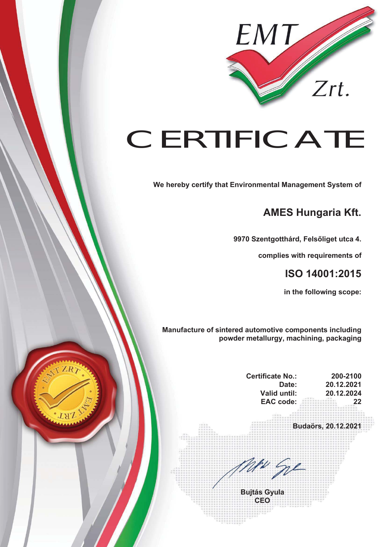

## **CERTIFICATE**

**We hereby certify that Environmental Management System of** 

## **AMES Hungaria Kft.**

**9970 Szentgotthárd, Felsőliget utca 4.** 

**complies with requirements of** 

## **ISO 14001:2015**

**in the following scope:** 

**Manufacture of sintered automotive components including powder metallurgy, machining, packaging** 

| 20.12.2021                                      |
|-------------------------------------------------|
| 20.12.2024<br>22<br>. as 10, 10, 21<br>双证目世界目录自 |
| Budaörs, 20.12.2021                             |
|                                                 |
|                                                 |
|                                                 |